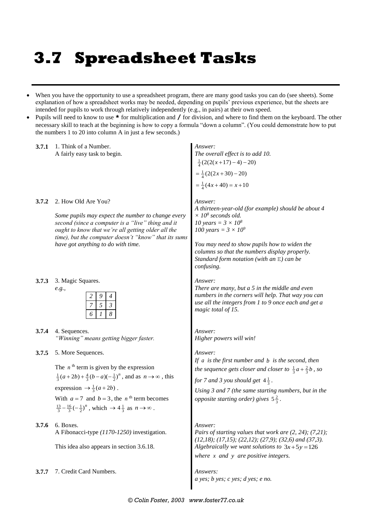# **3.7 Spreadsheet Tasks**

- When you have the opportunity to use a spreadsheet program, there are many good tasks you can do (see sheets). Some explanation of how a spreadsheet works may be needed, depending on pupils' previous experience, but the sheets are intended for pupils to work through relatively independently (e.g., in pairs) at their own speed.
- Pupils will need to know to use **\*** for multiplication and **/** for division, and where to find them on the keyboard. The other necessary skill to teach at the beginning is how to copy a formula "down a column". (You could demonstrate how to put the numbers 1 to 20 into column A in just a few seconds.)

| 3.7.1 | 1. Think of a Number.<br>A fairly easy task to begin.                                                                                                                                                                                                                                                                                                                                                | Answer:<br>The overall effect is to add 10.<br>$\frac{1}{4}(2(2(x+17)-4)-20)$<br>$=\frac{1}{4}(2(2x+30)-20)$<br>$=\frac{1}{4}(4x+40) = x+10$                                                                                                                                                                          |
|-------|------------------------------------------------------------------------------------------------------------------------------------------------------------------------------------------------------------------------------------------------------------------------------------------------------------------------------------------------------------------------------------------------------|-----------------------------------------------------------------------------------------------------------------------------------------------------------------------------------------------------------------------------------------------------------------------------------------------------------------------|
| 3.7.2 | 2. How Old Are You?<br>Some pupils may expect the number to change every<br>second (since a computer is a "live" thing and it<br>ought to know that we're all getting older all the<br>time), but the computer doesn't "know" that its sums<br>have got anything to do with time.                                                                                                                    | Answer:<br>A thirteen-year-old (for example) should be about 4<br>$\times 10^8$ seconds old.<br>10 years = $3 \times 10^8$<br>100 years = $3 \times 10^9$<br>You may need to show pupils how to widen the<br>columns so that the numbers display properly.<br>Standard form notation (with an E) can be<br>confusing. |
| 3.7.3 | 3. Magic Squares.<br>e.g.,<br>4<br>$\mathfrak{Z}$<br>5<br>8                                                                                                                                                                                                                                                                                                                                          | Answer:<br>There are many, but a $5$ in the middle and even<br>numbers in the corners will help. That way you can<br>use all the integers from 1 to 9 once each and get a<br>magic total of 15.                                                                                                                       |
| 3.7.4 | 4. Sequences.<br>"Winning" means getting bigger faster.                                                                                                                                                                                                                                                                                                                                              | Answer:<br>Higher powers will win!                                                                                                                                                                                                                                                                                    |
| 3.7.5 | 5. More Sequences.<br>The $n^{\text{th}}$ term is given by the expression<br>$\frac{1}{3}(a+2b) + \frac{4}{3}(b-a)(-\frac{1}{2})^n$ , and as $n \to \infty$ , this<br>expression $\rightarrow \frac{1}{3}(a+2b)$ .<br>With $a = 7$ and $b = 3$ , the n <sup>th</sup> term becomes<br>$\frac{13}{3} - \frac{16}{3}(-\frac{1}{2})^n$ , which $\rightarrow$ 4 $\frac{1}{3}$ as $n \rightarrow \infty$ . | Answer:<br>If $a$ is the first number and $b$ is the second, then<br>the sequence gets closer and closer to $\frac{1}{3}a + \frac{2}{3}b$ , so<br>for 7 and 3 you should get $4\frac{1}{3}$ .<br>Using 3 and 7 (the same starting numbers, but in the<br><i>opposite starting order) gives</i> $5\frac{2}{3}$ .       |
| 3.7.6 | 6. Boxes.<br>A Fibonacci-type (1170-1250) investigation.<br>This idea also appears in section 3.6.18.                                                                                                                                                                                                                                                                                                | Answer:<br>Pairs of starting values that work are $(2, 24)$ ; $(7, 21)$ ;<br>$(12,18)$ ; $(17,15)$ ; $(22,12)$ ; $(27,9)$ ; $(32,6)$ and $(37,3)$ .<br>Algebraically we want solutions to $3x+5y=126$<br>where $x$ and $y$ are positive integers.                                                                     |
| 3.7.7 | 7. Credit Card Numbers.                                                                                                                                                                                                                                                                                                                                                                              | Answers:<br>a yes; b yes; c yes; d yes; e no.                                                                                                                                                                                                                                                                         |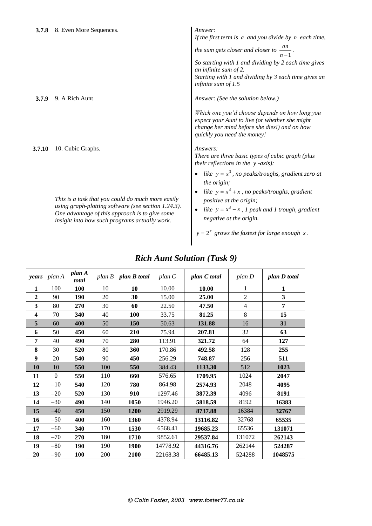| 9. A Rich Aunt<br><b>3.7.9</b> |
|--------------------------------|
|--------------------------------|

**3.7.10** 10. Cubic Graphs.

*This is a task that you could do much more easily using graph-plotting software (see section 1.24.3). One advantage of this approach is to give some insight into how such programs actually work.*

## If the first term is a and you divide by *n* each time,

*the sum gets closer and closer to*  $\frac{dn}{n-1}$ *an n*

*So starting with 1 and dividing by 2 each time gives an infinite sum of 2. Starting with 1 and dividing by 3 each time gives an infinite sum of 1.5*

*.*

Answer: (See the solution below.)

*Which one you'd choose depends on how long you expect your Aunt to live (or whether she might change her mind before she dies!) and on how quickly you need the money!*

#### *Answers:*

*There are three basic types of cubic graph (plus their reflections in the y -axis):*

- like  $y = x^3$ , no peaks/troughs, gradient zero at *the origin;*
- like  $y = x^3 + x$ , no peaks/*troughs*, gradient *positive at the origin;*
- like  $y = x^3 x$ , 1 peak and 1 trough, gradient *negative at the origin.*

 $y = 2^x$  grows the fastest for large enough  $x$ .

| years        | plan A   | plan A<br>total | plan B | plan B total | plan C   | plan C total | $plan\ D$      | plan D total |
|--------------|----------|-----------------|--------|--------------|----------|--------------|----------------|--------------|
| 1            | 100      | <b>100</b>      | 10     | 10           | 10.00    | 10.00        | 1              | 1            |
| $\mathbf{2}$ | 90       | 190             | 20     | 30           | 15.00    | 25.00        | $\overline{2}$ | 3            |
| 3            | 80       | 270             | 30     | 60           | 22.50    | 47.50        | $\overline{4}$ | 7            |
| 4            | 70       | 340             | 40     | 100          | 33.75    | 81.25        | 8              | 15           |
| 5            | 60       | 400             | 50     | 150          | 50.63    | 131.88       | 16             | 31           |
| 6            | 50       | 450             | 60     | 210          | 75.94    | 207.81       | 32             | 63           |
| 7            | 40       | 490             | 70     | 280          | 113.91   | 321.72       | 64             | 127          |
| 8            | 30       | 520             | 80     | 360          | 170.86   | 492.58       | 128            | 255          |
| 9            | 20       | 540             | 90     | 450          | 256.29   | 748.87       | 256            | 511          |
| 10           | 10       | 550             | 100    | 550          | 384.43   | 1133.30      | 512            | 1023         |
| 11           | $\Omega$ | 550             | 110    | 660          | 576.65   | 1709.95      | 1024           | 2047         |
| 12           | $-10$    | 540             | 120    | 780          | 864.98   | 2574.93      | 2048           | 4095         |
| 13           | $-20$    | 520             | 130    | 910          | 1297.46  | 3872.39      | 4096           | 8191         |
| 14           | $-30$    | 490             | 140    | 1050         | 1946.20  | 5818.59      | 8192           | 16383        |
| 15           | $-40$    | 450             | 150    | 1200         | 2919.29  | 8737.88      | 16384          | 32767        |
| 16           | $-50$    | 400             | 160    | 1360         | 4378.94  | 13116.82     | 32768          | 65535        |
| 17           | $-60$    | 340             | 170    | 1530         | 6568.41  | 19685.23     | 65536          | 131071       |
| 18           | $-70$    | 270             | 180    | 1710         | 9852.61  | 29537.84     | 131072         | 262143       |
| 19           | $-80$    | <b>190</b>      | 190    | 1900         | 14778.92 | 44316.76     | 262144         | 524287       |
| 20           | $-90$    | <b>100</b>      | 200    | 2100         | 22168.38 | 66485.13     | 524288         | 1048575      |

#### *Rich Aunt Solution (Task 9)*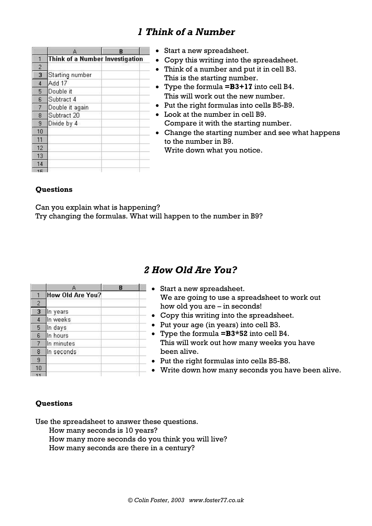### *1 Think of a Number*

|                | А                               | B |
|----------------|---------------------------------|---|
|                | Think of a Number Investigation |   |
| $\overline{c}$ |                                 |   |
| 3              | Starting number                 |   |
| $\overline{4}$ | Add 17                          |   |
| 5              | Double it                       |   |
| 6              | Subtract 4                      |   |
| $\overline{7}$ | Double it again                 |   |
| 8              | Subtract 20                     |   |
| $\overline{9}$ | Divide by 4                     |   |
| 10             |                                 |   |
| 11             |                                 |   |
| 12             |                                 |   |
| 13             |                                 |   |
| 14             |                                 |   |
|                |                                 |   |

- Start a new spreadsheet.
- Copy this writing into the spreadsheet.
- Think of a number and put it in cell B3. This is the starting number.
- Type the formula **=B3+17** into cell B4. This will work out the new number.
- Put the right formulas into cells B5-B9.
- Look at the number in cell B9. Compare it with the starting number.
- Change the starting number and see what happens to the number in B9.

Write down what you notice.

#### **Questions**

Can you explain what is happening? Try changing the formulas. What will happen to the number in B9?

### *2 How Old Are You?*

|                | А                | B |  |
|----------------|------------------|---|--|
|                | How Old Are You? |   |  |
| $\overline{c}$ |                  |   |  |
| 3              | In years         |   |  |
| 4              | In weeks         |   |  |
| 5              | In days          |   |  |
| 6              | In hours         |   |  |
| $\overline{7}$ | In minutes       |   |  |
| 8              | In seconds       |   |  |
| 9              |                  |   |  |
| 10             |                  |   |  |
|                |                  |   |  |

- Start a new spreadsheet. We are going to use a spreadsheet to work out how old you are – in seconds! Copy this writing into the spreadsheet. • Put your age (in years) into cell B3.
	- Type the formula **=B3\*52** into cell B4. This will work out how many weeks you have been alive.
	- Put the right formulas into cells B5-B8.
	- Write down how many seconds you have been alive.

#### **Questions**

Use the spreadsheet to answer these questions.

- How many seconds is 10 years?
- How many more seconds do you think you will live?
- How many seconds are there in a century?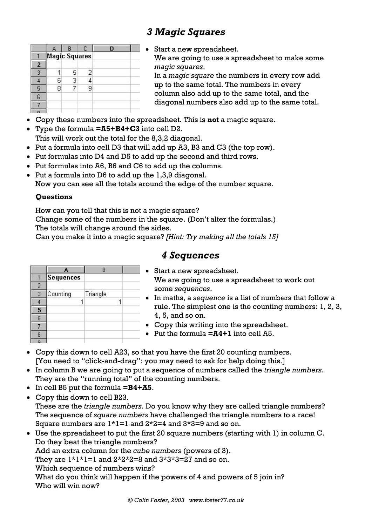## *3 Magic Squares*

|   | e                    | R              |   |  |
|---|----------------------|----------------|---|--|
|   | <b>Magic Squares</b> |                |   |  |
| 2 |                      | 4              |   |  |
|   |                      | 5              | 2 |  |
|   | หิ                   | $\overline{3}$ |   |  |
| Б | 8                    |                | 9 |  |
|   |                      |                |   |  |
|   |                      |                |   |  |
|   |                      |                |   |  |

 Start a new spreadsheet. We are going to use a spreadsheet to make some *magic squares*. In a *magic square* the numbers in every row add up to the same total. The numbers in every column also add up to the same total, and the diagonal numbers also add up to the same total.

- Copy these numbers into the spreadsheet. This is **not** a magic square.
- Type the formula **=A5+B4+C3** into cell D2. This will work out the total for the 8,3,2 diagonal.
- Put a formula into cell D3 that will add up A3, B3 and C3 (the top row).
- Put formulas into D4 and D5 to add up the second and third rows.
- Put formulas into A6, B6 and C6 to add up the columns.
- Put a formula into D6 to add up the 1,3,9 diagonal.

Now you can see all the totals around the edge of the number square.

#### **Questions**

How can you tell that this is not a magic square?

Change some of the numbers in the square. (Don't alter the formulas.) The totals will change around the sides.

Can you make it into a magic square? *[Hint: Try making all the totals 15]*

|   |                  | R        |  |
|---|------------------|----------|--|
|   | <b>Sequences</b> |          |  |
|   |                  |          |  |
| 3 | Counting         | Triangle |  |
|   |                  |          |  |
| 5 |                  |          |  |
| 6 |                  |          |  |
|   |                  |          |  |
|   |                  |          |  |
|   |                  |          |  |

### *4 Sequences*

- Start a new spreadsheet. We are going to use a spreadsheet to work out some *sequences*.
- In maths, a *sequence* is a list of numbers that follow a rule. The simplest one is the counting numbers: 1, 2, 3, 4, 5, and so on.
- Copy this writing into the spreadsheet.
- Put the formula **=A4+1** into cell A5.
- Copy this down to cell A23, so that you have the first 20 counting numbers. [You need to "click-and-drag": you may need to ask for help doing this.]
- In column B we are going to put a sequence of numbers called the *triangle numbers*. They are the "running total" of the counting numbers.
- In cell B5 put the formula **=B4+A5**.
- Copy this down to cell B23. These are the *triangle numbers*. Do you know why they are called triangle numbers? The sequence of *square numbers* have challenged the triangle numbers to a race! Square numbers are  $1*1=1$  and  $2*2=4$  and  $3*3=9$  and so on.
- Use the spreadsheet to put the first 20 square numbers (starting with 1) in column C. Do they beat the triangle numbers?

Add an extra column for the *cube numbers* (powers of 3).

They are  $1*1*1=1$  and  $2*2*2=8$  and  $3*3*3=27$  and so on.

Which sequence of numbers wins?

What do you think will happen if the powers of 4 and powers of 5 join in? Who will win now?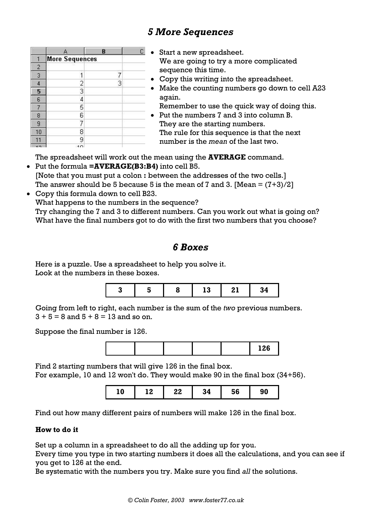## *5 More Sequences*

|                | A                     | B |  |
|----------------|-----------------------|---|--|
|                | <b>More Sequences</b> |   |  |
| $\overline{c}$ |                       |   |  |
| 3              |                       |   |  |
| 4              |                       | 3 |  |
| 5              | $\frac{2}{3}$         |   |  |
| $\mathsf{6}$   | $\overline{4}$        |   |  |
| 7              | 5                     |   |  |
| 8              | 6                     |   |  |
| 9              | 7                     |   |  |
| 10             | 8                     |   |  |
|                | 9                     |   |  |
| $\overline{1}$ | 10                    |   |  |

- Start a new spreadsheet. We are going to try a more complicated sequence this time.
- Copy this writing into the spreadsheet.
- Make the counting numbers go down to cell A23 again. Remember to use the quick way of doing this.
- Put the numbers 7 and 3 into column B. They are the starting numbers. The rule for this sequence is that the next number is the *mean* of the last two.

The spreadsheet will work out the mean using the **AVERAGE** command.

- Put the formula **=AVERAGE(B3:B4)** into cell B5. [Note that you must put a colon **:** between the addresses of the two cells.] The answer should be 5 because 5 is the mean of 7 and 3. [Mean  $=(7+3)/2$ ]
- Copy this formula down to cell B23. What happens to the numbers in the sequence? Try changing the 7 and 3 to different numbers. Can you work out what is going on? What have the final numbers got to do with the first two numbers that you choose?

### *6 Boxes*

Here is a puzzle. Use a spreadsheet to help you solve it. Look at the numbers in these boxes.



Going from left to right, each number is the sum of the *two* previous numbers.  $3 + 5 = 8$  and  $5 + 8 = 13$  and so on.

Suppose the final number is 126.



Find 2 starting numbers that will give 126 in the final box.

For example, 10 and 12 won't do. They would make 90 in the final box (34+56).

| ۱Δ<br>c<br>. מ<br>- -<br>o<br>סנ<br>1V<br>Ju<br>בי<br><br>. . |
|---------------------------------------------------------------|
|---------------------------------------------------------------|

Find out how many different pairs of numbers will make 126 in the final box.

#### **How to do it**

Set up a column in a spreadsheet to do all the adding up for you.

Every time you type in two starting numbers it does all the calculations, and you can see if you get to 126 at the end.

Be systematic with the numbers you try. Make sure you find *all* the solutions.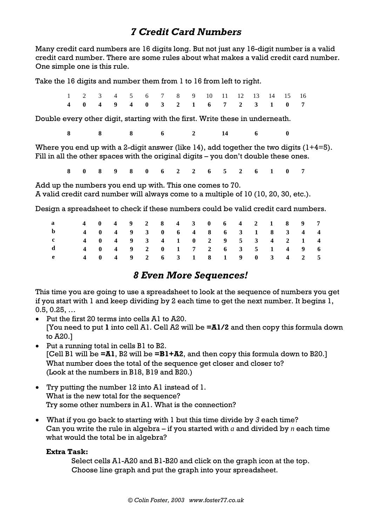### *7 Credit Card Numbers*

Many credit card numbers are 16 digits long. But not just any 16-digit number is a valid credit card number. There are some rules about what makes a valid credit card number. One simple one is this rule.

Take the 16 digits and number them from 1 to 16 from left to right.

|  |  |  |  | 1 2 3 4 5 6 7 8 9 10 11 12 13 14 15 16                        |  |  |  |
|--|--|--|--|---------------------------------------------------------------|--|--|--|
|  |  |  |  | 4   0   4   9   4   0   3   2   1   6   7   2   3   1   0   7 |  |  |  |

Double every other digit, starting with the first. Write these in underneath.

**8 8 8 6 2 14 6 0**

Where you end up with a 2-digit answer (like  $14$ ), add together the two digits  $(1+4=5)$ . Fill in all the other spaces with the original digits – you don't double these ones.

**8 0 8 9 8 0 6 2 2 6 5 2 6 1 0 7**

Add up the numbers you end up with. This one comes to 70. A valid credit card number will always come to a multiple of 10 (10, 20, 30, etc.).

Design a spreadsheet to check if these numbers could be valid credit card numbers.

| $\mathbf{a}$                  |  |  |  |  |  |  | 4   0   4   9   2   8   4   3   0   6   4   2   1   8   9   7 |  |
|-------------------------------|--|--|--|--|--|--|---------------------------------------------------------------|--|
| $\mathbf{b}$                  |  |  |  |  |  |  | 4 0 4 9 3 0 6 4 8 6 3 1 8 3 4 4                               |  |
| $\mathbf{c}$ and $\mathbf{c}$ |  |  |  |  |  |  | 4   0   4   9   3   4   1   0   2   9   5   3   4   2   1   4 |  |
|                               |  |  |  |  |  |  | 4   0   4   9   2   0   1   7   2   6   3   5   1   4   9   6 |  |
| $\mathbf{e}$ and $\mathbf{e}$ |  |  |  |  |  |  | 4 0 4 9 2 6 3 1 8 1 9 0 3 4 2 5                               |  |

### *8 Even More Sequences!*

This time you are going to use a spreadsheet to look at the sequence of numbers you get if you start with 1 and keep dividing by 2 each time to get the next number. It begins 1, 0.5, 0.25, …

- Put the first 20 terms into cells A1 to A20. [You need to put **1** into cell A1. Cell A2 will be **=A1/2** and then copy this formula down to A20.]
- Put a running total in cells B1 to B2. [Cell B1 will be **=A1**, B2 will be **=B1+A2**, and then copy this formula down to B20.] What number does the total of the sequence get closer and closer to? (Look at the numbers in B18, B19 and B20.)
- Try putting the number 12 into A1 instead of 1. What is the new total for the sequence? Try some other numbers in A1. What is the connection?
- What if you go back to starting with 1 but this time divide by *3* each time? Can you write the rule in algebra – if you started with *a* and divided by *n* each time what would the total be in algebra?

#### **Extra Task:**

Select cells A1-A20 and B1-B20 and click on the graph icon at the top. Choose line graph and put the graph into your spreadsheet.